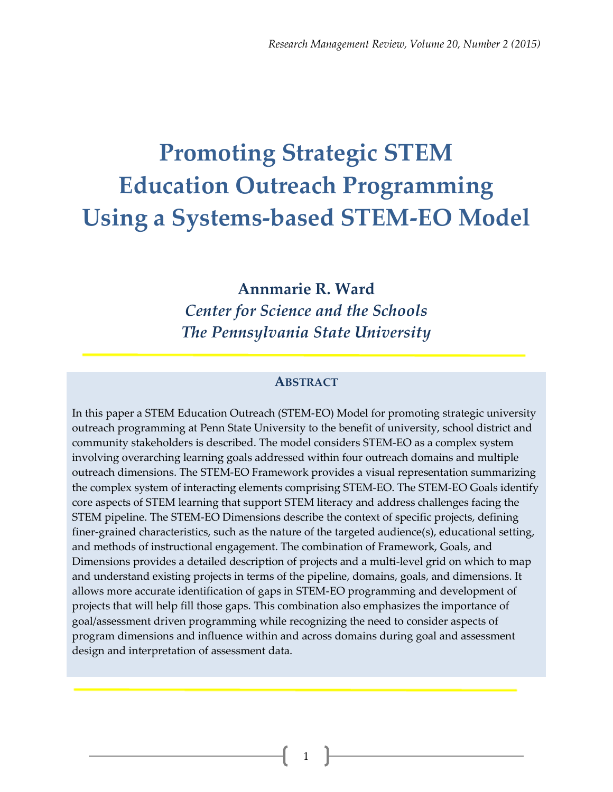# **Promoting Strategic STEM Education Outreach Programming Using a Systems-based STEM-EO Model**

**Annmarie R. Ward** *Center for Science and the Schools The Pennsylvania State University*

#### **ABSTRACT**

In this paper a STEM Education Outreach (STEM-EO) Model for promoting strategic university outreach programming at Penn State University to the benefit of university, school district and community stakeholders is described. The model considers STEM-EO as a complex system involving overarching learning goals addressed within four outreach domains and multiple outreach dimensions. The STEM-EO Framework provides a visual representation summarizing the complex system of interacting elements comprising STEM-EO. The STEM-EO Goals identify core aspects of STEM learning that support STEM literacy and address challenges facing the STEM pipeline. The STEM-EO Dimensions describe the context of specific projects, defining finer-grained characteristics, such as the nature of the targeted audience(s), educational setting, and methods of instructional engagement. The combination of Framework, Goals, and Dimensions provides a detailed description of projects and a multi-level grid on which to map and understand existing projects in terms of the pipeline, domains, goals, and dimensions. It allows more accurate identification of gaps in STEM-EO programming and development of projects that will help fill those gaps. This combination also emphasizes the importance of goal/assessment driven programming while recognizing the need to consider aspects of program dimensions and influence within and across domains during goal and assessment design and interpretation of assessment data.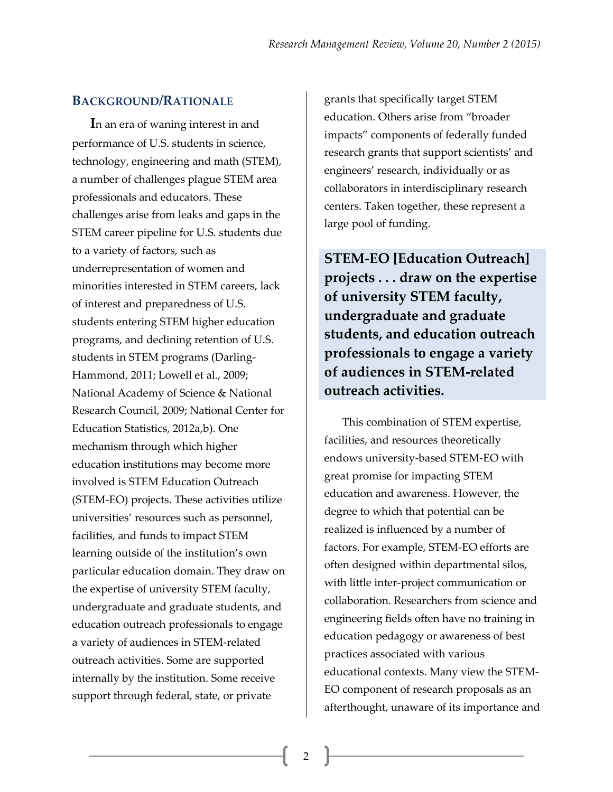#### **BACKGROUND/RATIONALE**

**I**n an era of waning interest in and performance of U.S. students in science, technology, engineering and math (STEM), a number of challenges plague STEM area professionals and educators. These challenges arise from leaks and gaps in the STEM career pipeline for U.S. students due to a variety of factors, such as underrepresentation of women and minorities interested in STEM careers, lack of interest and preparedness of U.S. students entering STEM higher education programs, and declining retention of U.S. students in STEM programs (Darling-Hammond, 2011; Lowell et al., 2009; National Academy of Science & National Research Council, 2009; National Center for Education Statistics, 2012a,b). One mechanism through which higher education institutions may become more involved is STEM Education Outreach (STEM-EO) projects. These activities utilize universities' resources such as personnel, facilities, and funds to impact STEM learning outside of the institution's own particular education domain. They draw on the expertise of university STEM faculty, undergraduate and graduate students, and education outreach professionals to engage a variety of audiences in STEM-related outreach activities. Some are supported internally by the institution. Some receive support through federal, state, or private

grants that specifically target STEM education. Others arise from "broader impacts" components of federally funded research grants that support scientists' and engineers' research, individually or as collaborators in interdisciplinary research centers. Taken together, these represent a large pool of funding.

**STEM-EO [Education Outreach] projects . . . draw on the expertise of university STEM faculty, undergraduate and graduate students, and education outreach professionals to engage a variety of audiences in STEM-related outreach activities.**

This combination of STEM expertise, facilities, and resources theoretically endows university-based STEM-EO with great promise for impacting STEM education and awareness. However, the degree to which that potential can be realized is influenced by a number of factors. For example, STEM-EO efforts are often designed within departmental silos, with little inter-project communication or collaboration. Researchers from science and engineering fields often have no training in education pedagogy or awareness of best practices associated with various educational contexts. Many view the STEM-EO component of research proposals as an afterthought, unaware of its importance and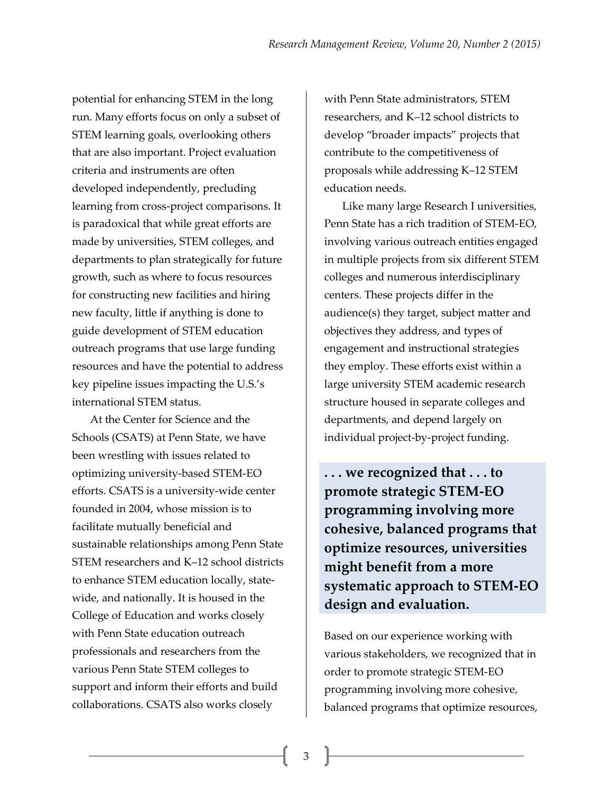potential for enhancing STEM in the long run. Many efforts focus on only a subset of STEM learning goals, overlooking others that are also important. Project evaluation criteria and instruments are often developed independently, precluding learning from cross-project comparisons. It is paradoxical that while great efforts are made by universities, STEM colleges, and departments to plan strategically for future growth, such as where to focus resources for constructing new facilities and hiring new faculty, little if anything is done to guide development of STEM education outreach programs that use large funding resources and have the potential to address key pipeline issues impacting the U.S.'s international STEM status.

At the Center for Science and the Schools (CSATS) at Penn State, we have been wrestling with issues related to optimizing university-based STEM-EO efforts. CSATS is a university-wide center founded in 2004, whose mission is to facilitate mutually beneficial and sustainable relationships among Penn State STEM researchers and K–12 school districts to enhance STEM education locally, statewide, and nationally. It is housed in the College of Education and works closely with Penn State education outreach professionals and researchers from the various Penn State STEM colleges to support and inform their efforts and build collaborations. CSATS also works closely

with Penn State administrators, STEM researchers, and K–12 school districts to develop "broader impacts" projects that contribute to the competitiveness of proposals while addressing K–12 STEM education needs.

Like many large Research I universities, Penn State has a rich tradition of STEM-EO, involving various outreach entities engaged in multiple projects from six different STEM colleges and numerous interdisciplinary centers. These projects differ in the audience(s) they target, subject matter and objectives they address, and types of engagement and instructional strategies they employ. These efforts exist within a large university STEM academic research structure housed in separate colleges and departments, and depend largely on individual project-by-project funding.

**. . . we recognized that . . . to promote strategic STEM-EO programming involving more cohesive, balanced programs that optimize resources, universities might benefit from a more systematic approach to STEM-EO design and evaluation.**

Based on our experience working with various stakeholders, we recognized that in order to promote strategic STEM-EO programming involving more cohesive, balanced programs that optimize resources,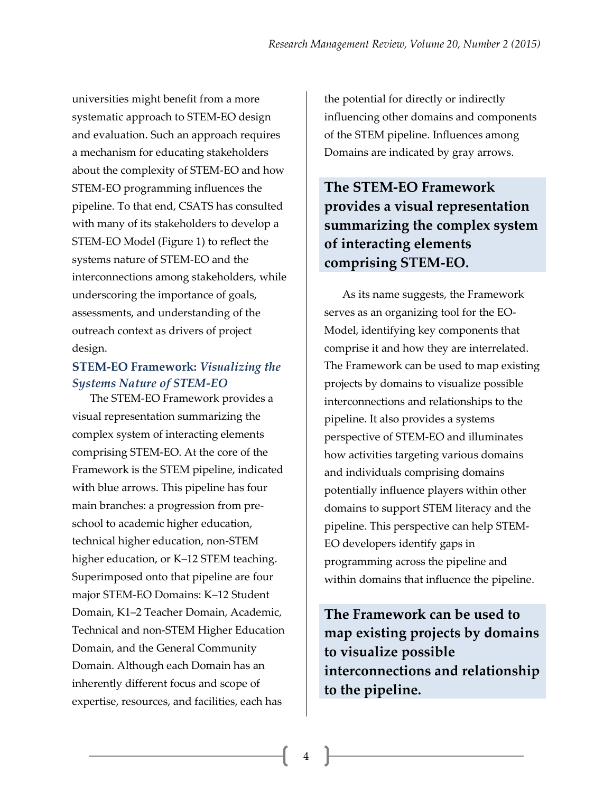universities might benefit from a more systematic approach to STEM-EO design and evaluation. Such an approach requires a mechanism for educating stakeholders about the complexity of STEM-EO and how STEM-EO programming influences the pipeline. To that end, CSATS has consulted with many of its stakeholders to develop a STEM-EO Model (Figure 1) to reflect the systems nature of STEM-EO and the interconnections among stakeholders, while underscoring the importance of goals, assessments, and understanding of the outreach context as drivers of project design.

### **STEM-EO Framework:** *Visualizing the Systems Nature of STEM-EO*

The STEM-EO Framework provides a visual representation summarizing the complex system of interacting elements comprising STEM-EO. At the core of the Framework is the STEM pipeline, indicated w**i**th blue arrows. This pipeline has four main branches: a progression from preschool to academic higher education, technical higher education, non-STEM higher education, or K–12 STEM teaching. Superimposed onto that pipeline are four major STEM-EO Domains: K–12 Student Domain, K1–2 Teacher Domain, Academic, Technical and non-STEM Higher Education Domain, and the General Community Domain. Although each Domain has an inherently different focus and scope of expertise, resources, and facilities, each has

the potential for directly or indirectly influencing other domains and components of the STEM pipeline. Influences among Domains are indicated by gray arrows.

**The STEM-EO Framework provides a visual representation summarizing the complex system of interacting elements comprising STEM-EO.**

As its name suggests, the Framework serves as an organizing tool for the EO-Model, identifying key components that comprise it and how they are interrelated. The Framework can be used to map existing projects by domains to visualize possible interconnections and relationships to the pipeline. It also provides a systems perspective of STEM-EO and illuminates how activities targeting various domains and individuals comprising domains potentially influence players within other domains to support STEM literacy and the pipeline. This perspective can help STEM-EO developers identify gaps in programming across the pipeline and within domains that influence the pipeline.

**The Framework can be used to map existing projects by domains to visualize possible interconnections and relationship to the pipeline.**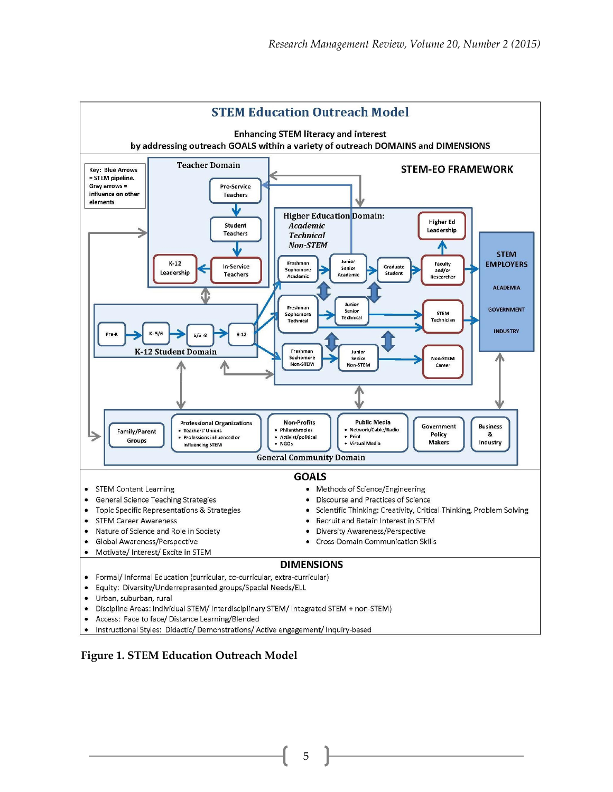

#### **Figure 1. STEM Education Outreach Model**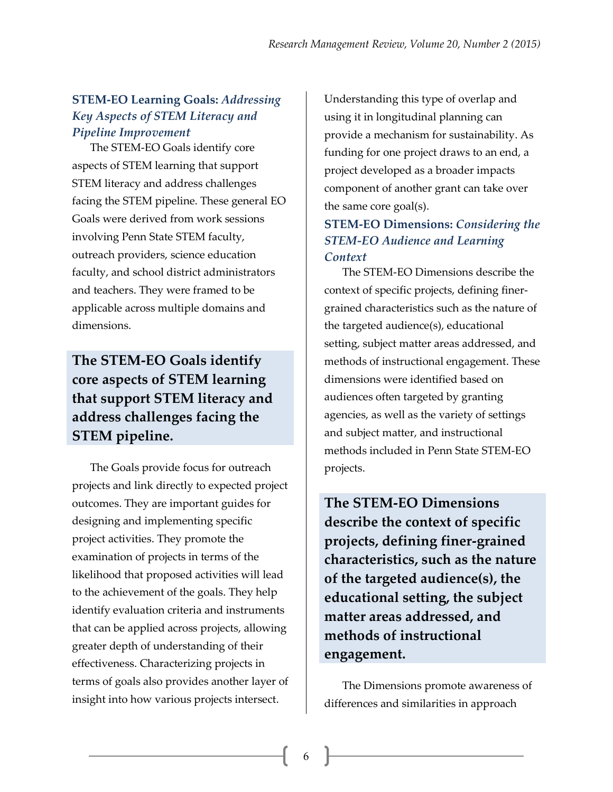## **STEM-EO Learning Goals:** *Addressing Key Aspects of STEM Literacy and Pipeline Improvement*

The STEM-EO Goals identify core aspects of STEM learning that support STEM literacy and address challenges facing the STEM pipeline. These general EO Goals were derived from work sessions involving Penn State STEM faculty, outreach providers, science education faculty, and school district administrators and teachers. They were framed to be applicable across multiple domains and dimensions.

## **The STEM-EO Goals identify core aspects of STEM learning that support STEM literacy and address challenges facing the STEM pipeline.**

The Goals provide focus for outreach projects and link directly to expected project outcomes. They are important guides for designing and implementing specific project activities. They promote the examination of projects in terms of the likelihood that proposed activities will lead to the achievement of the goals. They help identify evaluation criteria and instruments that can be applied across projects, allowing greater depth of understanding of their effectiveness. Characterizing projects in terms of goals also provides another layer of insight into how various projects intersect.

Understanding this type of overlap and using it in longitudinal planning can provide a mechanism for sustainability. As funding for one project draws to an end, a project developed as a broader impacts component of another grant can take over the same core goal(s).

#### **STEM-EO Dimensions:** *Considering the STEM-EO Audience and Learning Context*

The STEM-EO Dimensions describe the context of specific projects, defining finergrained characteristics such as the nature of the targeted audience(s), educational setting, subject matter areas addressed, and methods of instructional engagement. These dimensions were identified based on audiences often targeted by granting agencies, as well as the variety of settings and subject matter, and instructional methods included in Penn State STEM-EO projects.

**The STEM-EO Dimensions describe the context of specific projects, defining finer-grained characteristics, such as the nature of the targeted audience(s), the educational setting, the subject matter areas addressed, and methods of instructional engagement.**

The Dimensions promote awareness of differences and similarities in approach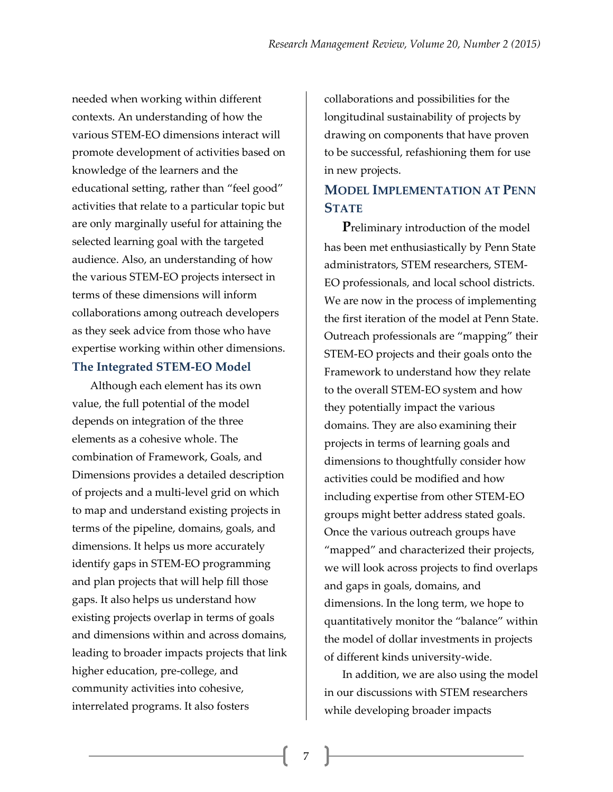needed when working within different contexts. An understanding of how the various STEM-EO dimensions interact will promote development of activities based on knowledge of the learners and the educational setting, rather than "feel good" activities that relate to a particular topic but are only marginally useful for attaining the selected learning goal with the targeted audience. Also, an understanding of how the various STEM-EO projects intersect in terms of these dimensions will inform collaborations among outreach developers as they seek advice from those who have expertise working within other dimensions. **The Integrated STEM-EO Model**

Although each element has its own value, the full potential of the model depends on integration of the three elements as a cohesive whole. The combination of Framework, Goals, and Dimensions provides a detailed description of projects and a multi-level grid on which to map and understand existing projects in terms of the pipeline, domains, goals, and dimensions. It helps us more accurately identify gaps in STEM-EO programming and plan projects that will help fill those gaps. It also helps us understand how existing projects overlap in terms of goals and dimensions within and across domains, leading to broader impacts projects that link higher education, pre-college, and community activities into cohesive, interrelated programs. It also fosters

collaborations and possibilities for the longitudinal sustainability of projects by drawing on components that have proven to be successful, refashioning them for use in new projects.

## **MODEL IMPLEMENTATION AT PENN STATE**

**P**reliminary introduction of the model has been met enthusiastically by Penn State administrators, STEM researchers, STEM-EO professionals, and local school districts. We are now in the process of implementing the first iteration of the model at Penn State. Outreach professionals are "mapping" their STEM-EO projects and their goals onto the Framework to understand how they relate to the overall STEM-EO system and how they potentially impact the various domains. They are also examining their projects in terms of learning goals and dimensions to thoughtfully consider how activities could be modified and how including expertise from other STEM-EO groups might better address stated goals. Once the various outreach groups have "mapped" and characterized their projects, we will look across projects to find overlaps and gaps in goals, domains, and dimensions. In the long term, we hope to quantitatively monitor the "balance" within the model of dollar investments in projects of different kinds university-wide.

In addition, we are also using the model in our discussions with STEM researchers while developing broader impacts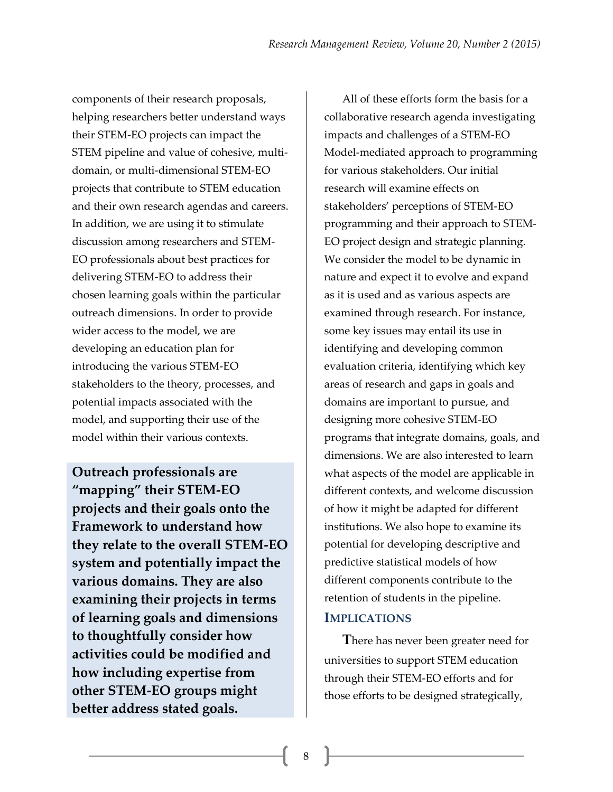components of their research proposals, helping researchers better understand ways their STEM-EO projects can impact the STEM pipeline and value of cohesive, multidomain, or multi-dimensional STEM-EO projects that contribute to STEM education and their own research agendas and careers. In addition, we are using it to stimulate discussion among researchers and STEM-EO professionals about best practices for delivering STEM-EO to address their chosen learning goals within the particular outreach dimensions. In order to provide wider access to the model, we are developing an education plan for introducing the various STEM-EO stakeholders to the theory, processes, and potential impacts associated with the model, and supporting their use of the model within their various contexts.

**Outreach professionals are "mapping" their STEM-EO projects and their goals onto the Framework to understand how they relate to the overall STEM-EO system and potentially impact the various domains. They are also examining their projects in terms of learning goals and dimensions to thoughtfully consider how activities could be modified and how including expertise from other STEM-EO groups might better address stated goals.**

All of these efforts form the basis for a collaborative research agenda investigating impacts and challenges of a STEM-EO Model-mediated approach to programming for various stakeholders. Our initial research will examine effects on stakeholders' perceptions of STEM-EO programming and their approach to STEM-EO project design and strategic planning. We consider the model to be dynamic in nature and expect it to evolve and expand as it is used and as various aspects are examined through research. For instance, some key issues may entail its use in identifying and developing common evaluation criteria, identifying which key areas of research and gaps in goals and domains are important to pursue, and designing more cohesive STEM-EO programs that integrate domains, goals, and dimensions. We are also interested to learn what aspects of the model are applicable in different contexts, and welcome discussion of how it might be adapted for different institutions. We also hope to examine its potential for developing descriptive and predictive statistical models of how different components contribute to the retention of students in the pipeline.

#### **IMPLICATIONS**

**T**here has never been greater need for universities to support STEM education through their STEM-EO efforts and for those efforts to be designed strategically,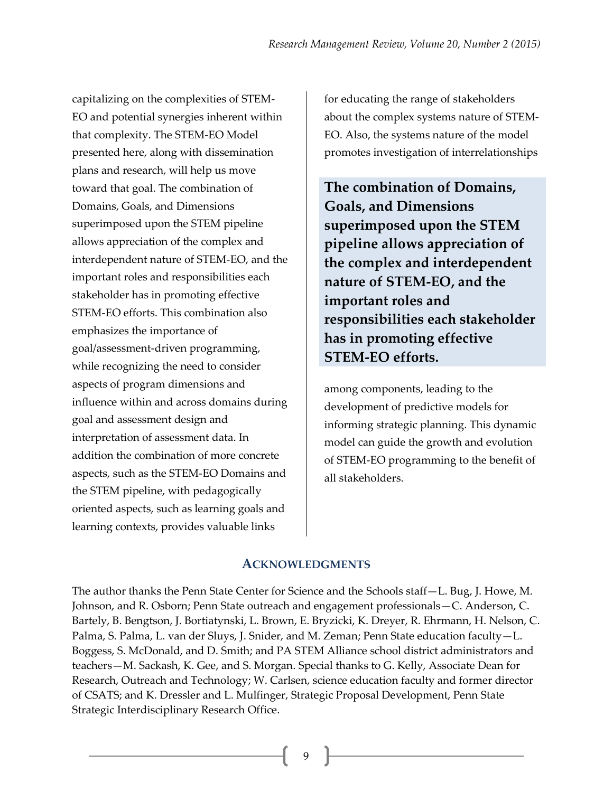capitalizing on the complexities of STEM-EO and potential synergies inherent within that complexity. The STEM-EO Model presented here, along with dissemination plans and research, will help us move toward that goal. The combination of Domains, Goals, and Dimensions superimposed upon the STEM pipeline allows appreciation of the complex and interdependent nature of STEM-EO, and the important roles and responsibilities each stakeholder has in promoting effective STEM-EO efforts. This combination also emphasizes the importance of goal/assessment-driven programming, while recognizing the need to consider aspects of program dimensions and influence within and across domains during goal and assessment design and interpretation of assessment data. In addition the combination of more concrete aspects, such as the STEM-EO Domains and the STEM pipeline, with pedagogically oriented aspects, such as learning goals and learning contexts, provides valuable links

for educating the range of stakeholders about the complex systems nature of STEM-EO. Also, the systems nature of the model promotes investigation of interrelationships

**The combination of Domains, Goals, and Dimensions superimposed upon the STEM pipeline allows appreciation of the complex and interdependent nature of STEM-EO, and the important roles and responsibilities each stakeholder has in promoting effective STEM-EO efforts.**

among components, leading to the development of predictive models for informing strategic planning. This dynamic model can guide the growth and evolution of STEM-EO programming to the benefit of all stakeholders.

#### **ACKNOWLEDGMENTS**

The author thanks the Penn State Center for Science and the Schools staff—L. Bug, J. Howe, M. Johnson, and R. Osborn; Penn State outreach and engagement professionals—C. Anderson, C. Bartely, B. Bengtson, J. Bortiatynski, L. Brown, E. Bryzicki, K. Dreyer, R. Ehrmann, H. Nelson, C. Palma, S. Palma, L. van der Sluys, J. Snider, and M. Zeman; Penn State education faculty—L. Boggess, S. McDonald, and D. Smith; and PA STEM Alliance school district administrators and teachers—M. Sackash, K. Gee, and S. Morgan. Special thanks to G. Kelly, Associate Dean for Research, Outreach and Technology; W. Carlsen, science education faculty and former director of CSATS; and K. Dressler and L. Mulfinger, Strategic Proposal Development, Penn State Strategic Interdisciplinary Research Office.